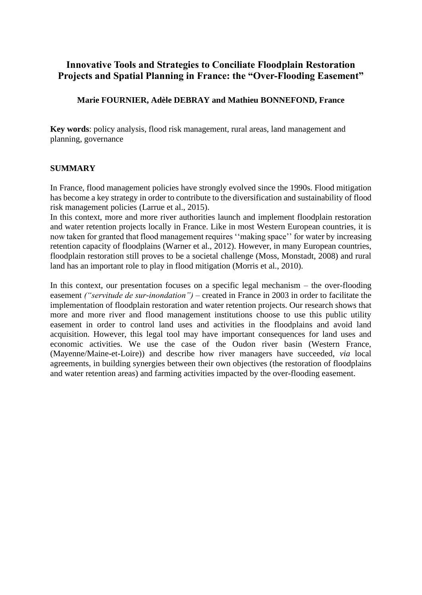# **Innovative Tools and Strategies to Conciliate Floodplain Restoration Projects and Spatial Planning in France: the "Over-Flooding Easement"**

# **Marie FOURNIER, Adèle DEBRAY and Mathieu BONNEFOND, France**

**Key words**: policy analysis, flood risk management, rural areas, land management and planning, governance

# **SUMMARY**

In France, flood management policies have strongly evolved since the 1990s. Flood mitigation has become a key strategy in order to contribute to the diversification and sustainability of flood risk management policies (Larrue et al., 2015).

In this context, more and more river authorities launch and implement floodplain restoration and water retention projects locally in France. Like in most Western European countries, it is now taken for granted that flood management requires ''making space'' for water by increasing retention capacity of floodplains (Warner et al., 2012). However, in many European countries, floodplain restoration still proves to be a societal challenge (Moss, Monstadt, 2008) and rural land has an important role to play in flood mitigation (Morris et al., 2010).

In this context, our presentation focuses on a specific legal mechanism – the over-flooding easement *("servitude de sur-inondation")* – created in France in 2003 in order to facilitate the implementation of floodplain restoration and water retention projects. Our research shows that more and more river and flood management institutions choose to use this public utility easement in order to control land uses and activities in the floodplains and avoid land acquisition. However, this legal tool may have important consequences for land uses and economic activities. We use the case of the Oudon river basin (Western France, (Mayenne/Maine-et-Loire)) and describe how river managers have succeeded, *via* local agreements, in building synergies between their own objectives (the restoration of floodplains and water retention areas) and farming activities impacted by the over-flooding easement.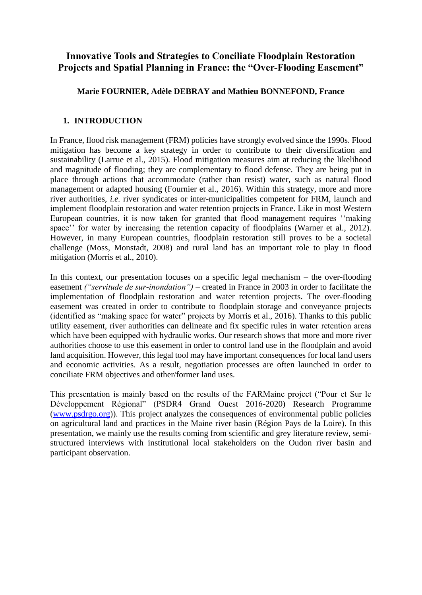# **Innovative Tools and Strategies to Conciliate Floodplain Restoration Projects and Spatial Planning in France: the "Over-Flooding Easement"**

## **Marie FOURNIER, Adèle DEBRAY and Mathieu BONNEFOND, France**

## **1. INTRODUCTION**

In France, flood risk management (FRM) policies have strongly evolved since the 1990s. Flood mitigation has become a key strategy in order to contribute to their diversification and sustainability (Larrue et al., 2015). Flood mitigation measures aim at reducing the likelihood and magnitude of flooding; they are complementary to flood defense. They are being put in place through actions that accommodate (rather than resist) water, such as natural flood management or adapted housing (Fournier et al., 2016). Within this strategy, more and more river authorities, *i.e.* river syndicates or inter-municipalities competent for FRM, launch and implement floodplain restoration and water retention projects in France. Like in most Western European countries, it is now taken for granted that flood management requires ''making space'' for water by increasing the retention capacity of floodplains (Warner et al., 2012). However, in many European countries, floodplain restoration still proves to be a societal challenge (Moss, Monstadt, 2008) and rural land has an important role to play in flood mitigation (Morris et al., 2010).

In this context, our presentation focuses on a specific legal mechanism – the over-flooding easement *("servitude de sur-inondation")* – created in France in 2003 in order to facilitate the implementation of floodplain restoration and water retention projects. The over-flooding easement was created in order to contribute to floodplain storage and conveyance projects (identified as "making space for water" projects by Morris et al., 2016). Thanks to this public utility easement, river authorities can delineate and fix specific rules in water retention areas which have been equipped with hydraulic works. Our research shows that more and more river authorities choose to use this easement in order to control land use in the floodplain and avoid land acquisition. However, this legal tool may have important consequences for local land users and economic activities. As a result, negotiation processes are often launched in order to conciliate FRM objectives and other/former land uses.

This presentation is mainly based on the results of the FARMaine project ("Pour et Sur le Développement Régional" (PSDR4 Grand Ouest 2016-2020) Research Programme [\(www.psdrgo.org\)](http://www.psdrgo.org/)). This project analyzes the consequences of environmental public policies on agricultural land and practices in the Maine river basin (Région Pays de la Loire). In this presentation, we mainly use the results coming from scientific and grey literature review, semistructured interviews with institutional local stakeholders on the Oudon river basin and participant observation.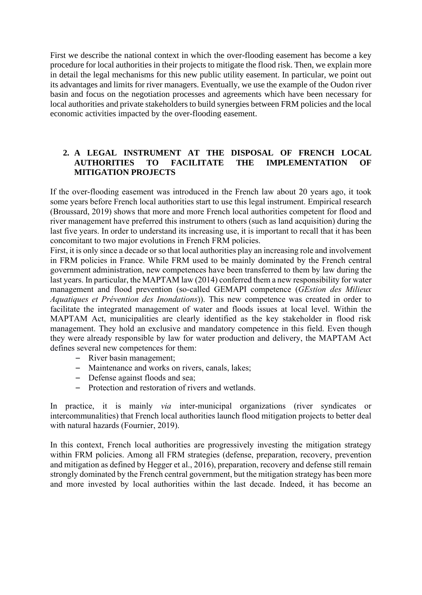First we describe the national context in which the over-flooding easement has become a key procedure for local authorities in their projects to mitigate the flood risk. Then, we explain more in detail the legal mechanisms for this new public utility easement. In particular, we point out its advantages and limits for river managers. Eventually, we use the example of the Oudon river basin and focus on the negotiation processes and agreements which have been necessary for local authorities and private stakeholders to build synergies between FRM policies and the local economic activities impacted by the over-flooding easement.

# **2. A LEGAL INSTRUMENT AT THE DISPOSAL OF FRENCH LOCAL AUTHORITIES TO FACILITATE THE IMPLEMENTATION OF MITIGATION PROJECTS**

If the over-flooding easement was introduced in the French law about 20 years ago, it took some years before French local authorities start to use this legal instrument. Empirical research (Broussard, 2019) shows that more and more French local authorities competent for flood and river management have preferred this instrument to others (such as land acquisition) during the last five years. In order to understand its increasing use, it is important to recall that it has been concomitant to two major evolutions in French FRM policies.

First, it is only since a decade or so that local authorities play an increasing role and involvement in FRM policies in France. While FRM used to be mainly dominated by the French central government administration, new competences have been transferred to them by law during the last years. In particular, the MAPTAM law (2014) conferred them a new responsibility for water management and flood prevention (so-called GEMAPI competence (*GEstion des Milieux Aquatiques et Prévention des Inondations*)). This new competence was created in order to facilitate the integrated management of water and floods issues at local level. Within the MAPTAM Act, municipalities are clearly identified as the key stakeholder in flood risk management. They hold an exclusive and mandatory competence in this field. Even though they were already responsible by law for water production and delivery, the MAPTAM Act defines several new competences for them:

- River basin management;
- Maintenance and works on rivers, canals, lakes;
- Defense against floods and sea;
- Protection and restoration of rivers and wetlands.

In practice, it is mainly *via* inter-municipal organizations (river syndicates or intercommunalities) that French local authorities launch flood mitigation projects to better deal with natural hazards (Fournier, 2019).

In this context, French local authorities are progressively investing the mitigation strategy within FRM policies. Among all FRM strategies (defense, preparation, recovery, prevention and mitigation as defined by Hegger et al., 2016), preparation, recovery and defense still remain strongly dominated by the French central government, but the mitigation strategy has been more and more invested by local authorities within the last decade. Indeed, it has become an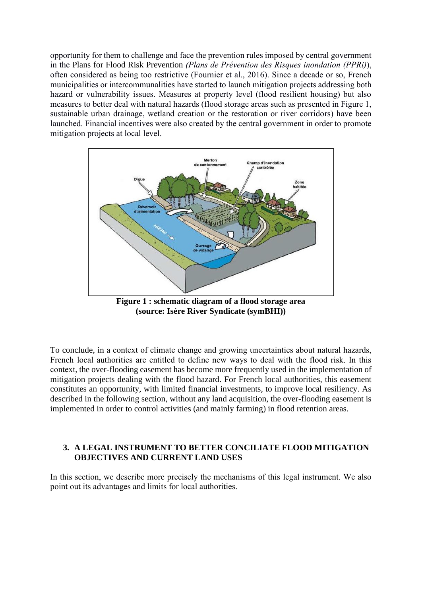opportunity for them to challenge and face the prevention rules imposed by central government in the Plans for Flood Risk Prevention *(Plans de Prévention des Risques inondation (PPRi)*), often considered as being too restrictive (Fournier et al., 2016). Since a decade or so, French municipalities or intercommunalities have started to launch mitigation projects addressing both hazard or vulnerability issues. Measures at property level (flood resilient housing) but also measures to better deal with natural hazards (flood storage areas such as presented in Figure 1, sustainable urban drainage, wetland creation or the restoration or river corridors) have been launched. Financial incentives were also created by the central government in order to promote mitigation projects at local level.



**Figure 1 : schematic diagram of a flood storage area (source: Isère River Syndicate (symBHI))** 

To conclude, in a context of climate change and growing uncertainties about natural hazards, French local authorities are entitled to define new ways to deal with the flood risk. In this context, the over-flooding easement has become more frequently used in the implementation of mitigation projects dealing with the flood hazard. For French local authorities, this easement constitutes an opportunity, with limited financial investments, to improve local resiliency. As described in the following section, without any land acquisition, the over-flooding easement is implemented in order to control activities (and mainly farming) in flood retention areas.

#### **3. A LEGAL INSTRUMENT TO BETTER CONCILIATE FLOOD MITIGATION OBJECTIVES AND CURRENT LAND USES**

In this section, we describe more precisely the mechanisms of this legal instrument. We also point out its advantages and limits for local authorities.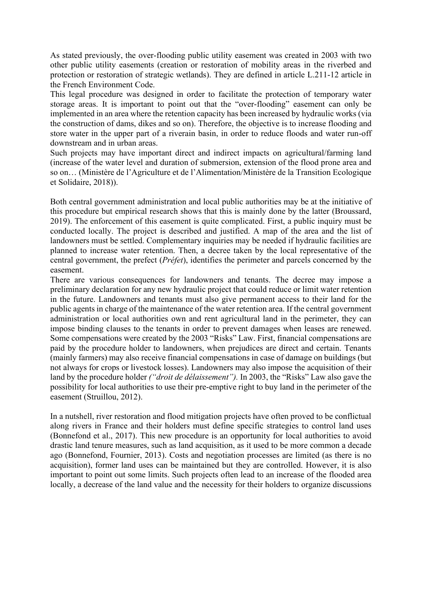As stated previously, the over-flooding public utility easement was created in 2003 with two other public utility easements (creation or restoration of mobility areas in the riverbed and protection or restoration of strategic wetlands). They are defined in article L.211-12 article in the French Environment Code.

This legal procedure was designed in order to facilitate the protection of temporary water storage areas. It is important to point out that the "over-flooding" easement can only be implemented in an area where the retention capacity has been increased by hydraulic works (via the construction of dams, dikes and so on). Therefore, the objective is to increase flooding and store water in the upper part of a riverain basin, in order to reduce floods and water run-off downstream and in urban areas.

Such projects may have important direct and indirect impacts on agricultural/farming land (increase of the water level and duration of submersion, extension of the flood prone area and so on… (Ministère de l'Agriculture et de l'Alimentation/Ministère de la Transition Ecologique et Solidaire, 2018)).

Both central government administration and local public authorities may be at the initiative of this procedure but empirical research shows that this is mainly done by the latter (Broussard, 2019). The enforcement of this easement is quite complicated. First, a public inquiry must be conducted locally. The project is described and justified. A map of the area and the list of landowners must be settled. Complementary inquiries may be needed if hydraulic facilities are planned to increase water retention. Then, a decree taken by the local representative of the central government, the prefect (*Préfet*), identifies the perimeter and parcels concerned by the easement.

There are various consequences for landowners and tenants. The decree may impose a preliminary declaration for any new hydraulic project that could reduce or limit water retention in the future. Landowners and tenants must also give permanent access to their land for the public agents in charge of the maintenance of the water retention area. If the central government administration or local authorities own and rent agricultural land in the perimeter, they can impose binding clauses to the tenants in order to prevent damages when leases are renewed. Some compensations were created by the 2003 "Risks" Law. First, financial compensations are paid by the procedure holder to landowners, when prejudices are direct and certain. Tenants (mainly farmers) may also receive financial compensations in case of damage on buildings (but not always for crops or livestock losses). Landowners may also impose the acquisition of their land by the procedure holder *("droit de délaissement").* In 2003, the "Risks" Law also gave the possibility for local authorities to use their pre-emptive right to buy land in the perimeter of the easement (Struillou, 2012).

In a nutshell, river restoration and flood mitigation projects have often proved to be conflictual along rivers in France and their holders must define specific strategies to control land uses (Bonnefond et al., 2017). This new procedure is an opportunity for local authorities to avoid drastic land tenure measures, such as land acquisition, as it used to be more common a decade ago (Bonnefond, Fournier, 2013). Costs and negotiation processes are limited (as there is no acquisition), former land uses can be maintained but they are controlled. However, it is also important to point out some limits. Such projects often lead to an increase of the flooded area locally, a decrease of the land value and the necessity for their holders to organize discussions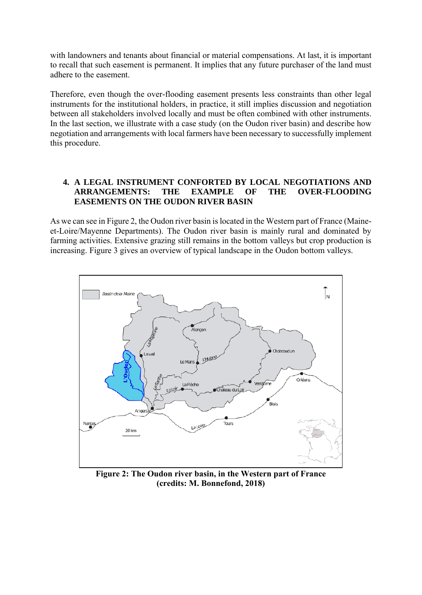with landowners and tenants about financial or material compensations. At last, it is important to recall that such easement is permanent. It implies that any future purchaser of the land must adhere to the easement.

Therefore, even though the over-flooding easement presents less constraints than other legal instruments for the institutional holders, in practice, it still implies discussion and negotiation between all stakeholders involved locally and must be often combined with other instruments. In the last section, we illustrate with a case study (on the Oudon river basin) and describe how negotiation and arrangements with local farmers have been necessary to successfully implement this procedure.

## **4. A LEGAL INSTRUMENT CONFORTED BY LOCAL NEGOTIATIONS AND ARRANGEMENTS: THE EXAMPLE OF THE OVER-FLOODING EASEMENTS ON THE OUDON RIVER BASIN**

As we can see in Figure 2, the Oudon river basin is located in the Western part of France (Maineet-Loire/Mayenne Departments). The Oudon river basin is mainly rural and dominated by farming activities. Extensive grazing still remains in the bottom valleys but crop production is increasing. Figure 3 gives an overview of typical landscape in the Oudon bottom valleys.



**Figure 2: The Oudon river basin, in the Western part of France (credits: M. Bonnefond, 2018)**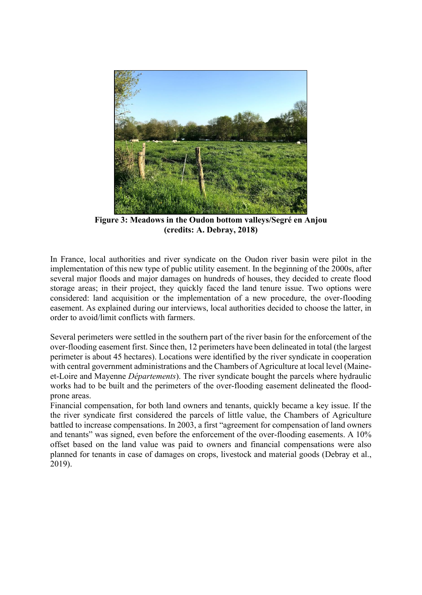

**Figure 3: Meadows in the Oudon bottom valleys/Segré en Anjou (credits: A. Debray, 2018)**

In France, local authorities and river syndicate on the Oudon river basin were pilot in the implementation of this new type of public utility easement. In the beginning of the 2000s, after several major floods and major damages on hundreds of houses, they decided to create flood storage areas; in their project, they quickly faced the land tenure issue. Two options were considered: land acquisition or the implementation of a new procedure, the over-flooding easement. As explained during our interviews, local authorities decided to choose the latter, in order to avoid/limit conflicts with farmers.

Several perimeters were settled in the southern part of the river basin for the enforcement of the over-flooding easement first. Since then, 12 perimeters have been delineated in total (the largest perimeter is about 45 hectares). Locations were identified by the river syndicate in cooperation with central government administrations and the Chambers of Agriculture at local level (Maineet-Loire and Mayenne *Départements*). The river syndicate bought the parcels where hydraulic works had to be built and the perimeters of the over-flooding easement delineated the floodprone areas.

Financial compensation, for both land owners and tenants, quickly became a key issue. If the the river syndicate first considered the parcels of little value, the Chambers of Agriculture battled to increase compensations. In 2003, a first "agreement for compensation of land owners and tenants" was signed, even before the enforcement of the over-flooding easements. A 10% offset based on the land value was paid to owners and financial compensations were also planned for tenants in case of damages on crops, livestock and material goods (Debray et al., 2019).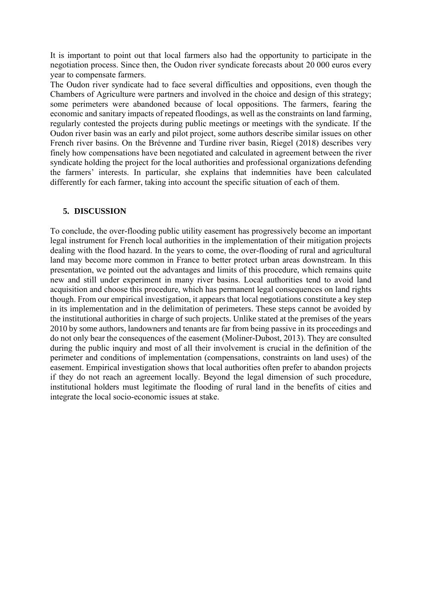It is important to point out that local farmers also had the opportunity to participate in the negotiation process. Since then, the Oudon river syndicate forecasts about 20 000 euros every year to compensate farmers.

The Oudon river syndicate had to face several difficulties and oppositions, even though the Chambers of Agriculture were partners and involved in the choice and design of this strategy; some perimeters were abandoned because of local oppositions. The farmers, fearing the economic and sanitary impacts of repeated floodings, as well as the constraints on land farming, regularly contested the projects during public meetings or meetings with the syndicate. If the Oudon river basin was an early and pilot project, some authors describe similar issues on other French river basins. On the Brévenne and Turdine river basin, Riegel (2018) describes very finely how compensations have been negotiated and calculated in agreement between the river syndicate holding the project for the local authorities and professional organizations defending the farmers' interests. In particular, she explains that indemnities have been calculated differently for each farmer, taking into account the specific situation of each of them.

#### **5. DISCUSSION**

To conclude, the over-flooding public utility easement has progressively become an important legal instrument for French local authorities in the implementation of their mitigation projects dealing with the flood hazard. In the years to come, the over-flooding of rural and agricultural land may become more common in France to better protect urban areas downstream. In this presentation, we pointed out the advantages and limits of this procedure, which remains quite new and still under experiment in many river basins. Local authorities tend to avoid land acquisition and choose this procedure, which has permanent legal consequences on land rights though. From our empirical investigation, it appears that local negotiations constitute a key step in its implementation and in the delimitation of perimeters. These steps cannot be avoided by the institutional authorities in charge of such projects. Unlike stated at the premises of the years 2010 by some authors, landowners and tenants are far from being passive in its proceedings and do not only bear the consequences of the easement (Moliner-Dubost, 2013). They are consulted during the public inquiry and most of all their involvement is crucial in the definition of the perimeter and conditions of implementation (compensations, constraints on land uses) of the easement. Empirical investigation shows that local authorities often prefer to abandon projects if they do not reach an agreement locally. Beyond the legal dimension of such procedure, institutional holders must legitimate the flooding of rural land in the benefits of cities and integrate the local socio-economic issues at stake.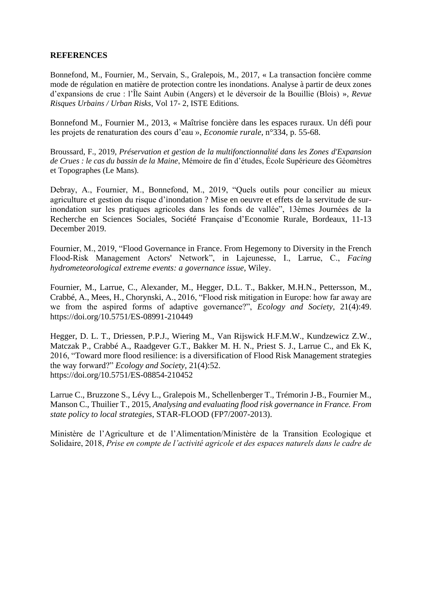#### **REFERENCES**

Bonnefond, M., Fournier, M., Servain, S., Gralepois, M., 2017, « La transaction foncière comme mode de régulation en matière de protection contre les inondations. Analyse à partir de deux zones d'expansions de crue : l'Île Saint Aubin (Angers) et le déversoir de la Bouillie (Blois) », *Revue Risques Urbains / Urban Risks*, Vol 17- 2, ISTE Editions.

Bonnefond M., Fournier M., 2013, « Maîtrise foncière dans les espaces ruraux. Un défi pour les projets de renaturation des cours d'eau », *Economie rurale*, n°334, p. 55-68.

Broussard, F., 2019, *Préservation et gestion de la multifonctionnalité dans les Zones d'Expansion de Crues : le cas du bassin de la Maine*, Mémoire de fin d'études, École Supérieure des Géomètres et Topographes (Le Mans).

Debray, A., Fournier, M., Bonnefond, M., 2019, "Quels outils pour concilier au mieux agriculture et gestion du risque d'inondation ? Mise en oeuvre et effets de la servitude de surinondation sur les pratiques agricoles dans les fonds de vallée", 13èmes Journées de la Recherche en Sciences Sociales, Société Française d'Economie Rurale, Bordeaux, 11-13 December 2019.

Fournier, M., 2019, "Flood Governance in France. From Hegemony to Diversity in the French Flood‐Risk Management Actors' Network", in Lajeunesse, I., Larrue, C., *Facing hydrometeorological extreme events: a governance issue*, Wiley.

Fournier, M., Larrue, C., Alexander, M., Hegger, D.L. T., Bakker, M.H.N., Pettersson, M., Crabbé, A., Mees, H., Chorynski, A., 2016, "Flood risk mitigation in Europe: how far away are we from the aspired forms of adaptive governance?", *Ecology and Society*, 21(4):49. <https://doi.org/10.5751/ES-08991-210449>

Hegger, D. L. T., Driessen, P.P.J., Wiering M., Van Rijswick H.F.M.W., Kundzewicz Z.W., Matczak P., Crabbé A., Raadgever G.T., Bakker M. H. N., Priest S. J., Larrue C., and Ek K, 2016, "Toward more flood resilience: is a diversification of Flood Risk Management strategies the way forward?" *Ecology and Society*, 21(4):52. https://doi.org/10.5751/ES-08854-210452

Larrue C., Bruzzone S., Lévy L., Gralepois M., Schellenberger T., Trémorin J-B., Fournier M., Manson C., Thuilier T., 2015, *Analysing and evaluating flood risk governance in France. From state policy to local strategies*, STAR-FLOOD (FP7/2007-2013).

Ministère de l'Agriculture et de l'Alimentation/Ministère de la Transition Ecologique et Solidaire, 2018, *Prise en compte de l'activité agricole et des espaces naturels dans le cadre de*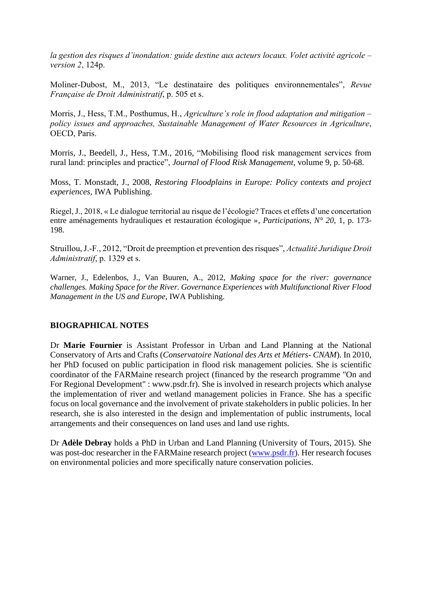*la gestion des risques d'inondation: guide destine aux acteurs locaux. Volet activité agricole – version 2*, 124p.

Moliner-Dubost, M., 2013, "Le destinataire des politiques environnementales", *Revue Française de Droit Administratif*, p. 505 et s.

Morris, J., Hess, T.M., Posthumus, H., *Agriculture's role in flood adaptation and mitigation – policy issues and approaches, Sustainable Management of Water Resources in Agriculture*, OECD, Paris.

Morris, J., Beedell, J., Hess, T.M., 2016, "Mobilising flood risk management services from rural land: principles and practice", *Journal of Flood Risk Management*, volume 9, p. 50-68.

Moss, T. Monstadt, J., 2008, *Restoring Floodplains in Europe: Policy contexts and project experiences,* IWA Publishing.

Riegel, J., 2018, « Le dialogue territorial au risque de l'écologie? Traces et effets d'une concertation entre aménagements hydrauliques et restauration écologique », *Participations*, *N° 20*, 1, p. 173- 198.

Struillou, J.-F., 2012, "Droit de preemption et prevention des risques", *Actualité Juridique Droit Administratif*, p. 1329 et s.

Warner, J., Edelenbos, J., Van Buuren, A., 2012, *Making space for the river: governance challenges. Making Space for the River. Governance Experiences with Multifunctional River Flood Management in the US and Europe*, IWA Publishing.

#### **BIOGRAPHICAL NOTES**

Dr **Marie Fournier** is Assistant Professor in Urban and Land Planning at the National Conservatory of Arts and Crafts (*Conservatoire National des Arts et Métiers- CNAM*). In 2010, her PhD focused on public participation in flood risk management policies. She is scientific coordinator of the FARMaine research project (financed by the research programme "On and For Regional Development" : www.psdr.fr). She is involved in research projects which analyse the implementation of river and wetland management policies in France. She has a specific focus on local governance and the involvement of private stakeholders in public policies. In her research, she is also interested in the design and implementation of public instruments, local arrangements and their consequences on land uses and land use rights.

Dr **Adèle Debray** holds a PhD in Urban and Land Planning (University of Tours, 2015). She was post-doc researcher in the FARMaine research project [\(www.psdr.fr\)](http://www.psdr.fr/). Her research focuses on environmental policies and more specifically nature conservation policies.